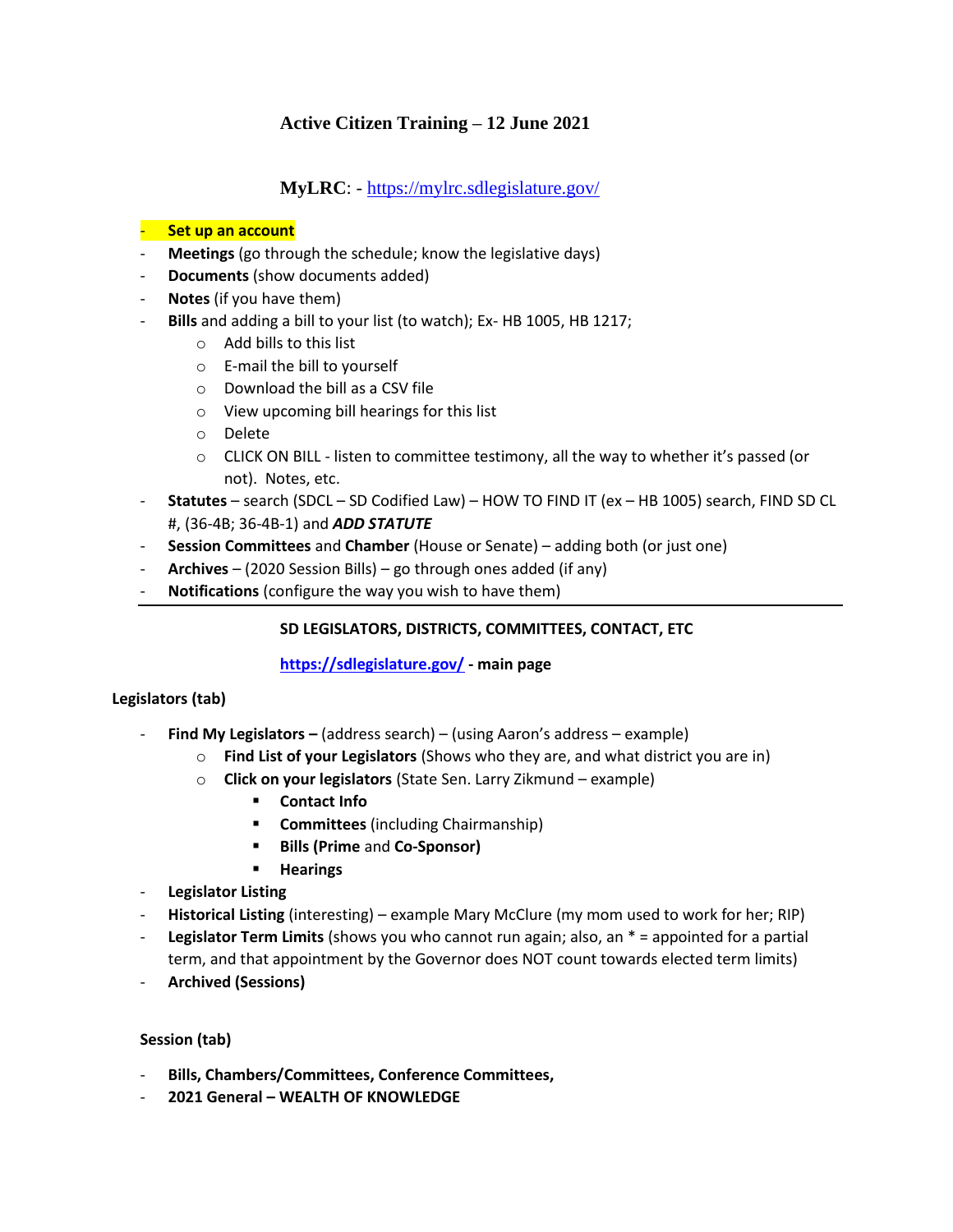# **Active Citizen Training – 12 June 2021**

## **MyLRC**: - <https://mylrc.sdlegislature.gov/>

#### - **Set up an account**

- **Meetings** (go through the schedule; know the legislative days)
- **Documents** (show documents added)
- **Notes** (if you have them)
- **Bills** and adding a bill to your list (to watch); Ex- HB 1005, HB 1217;
	- o Add bills to this list
	- o E-mail the bill to yourself
	- o Download the bill as a CSV file
	- o View upcoming bill hearings for this list
	- o Delete
	- $\circ$  CLICK ON BILL listen to committee testimony, all the way to whether it's passed (or not). Notes, etc.
- **Statutes** search (SDCL SD Codified Law) HOW TO FIND IT (ex HB 1005) search, FIND SD CL #, (36-4B; 36-4B-1) and *ADD STATUTE*
- **Session Committees** and **Chamber** (House or Senate) adding both (or just one)
- **Archives** (2020 Session Bills) go through ones added (if any)
- **Notifications** (configure the way you wish to have them)

### **SD LEGISLATORS, DISTRICTS, COMMITTEES, CONTACT, ETC**

#### **<https://sdlegislature.gov/> - main page**

#### **Legislators (tab)**

- **Find My Legislators –** (address search) (using Aaron's address example)
	- o **Find List of your Legislators** (Shows who they are, and what district you are in)
	- o **Click on your legislators** (State Sen. Larry Zikmund example)
		- **Contact Info**
		- **Committees** (including Chairmanship)
		- **Bills (Prime** and **Co-Sponsor)**
		- **Hearings**
- **Legislator Listing**
- **Historical Listing** (interesting) example Mary McClure (my mom used to work for her; RIP)
- **Legislator Term Limits** (shows you who cannot run again; also, an \* = appointed for a partial term, and that appointment by the Governor does NOT count towards elected term limits)
- **Archived (Sessions)**

#### **Session (tab)**

- **Bills, Chambers/Committees, Conference Committees,**
- **2021 General – WEALTH OF KNOWLEDGE**